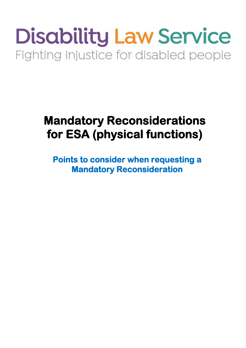# **Disability Law Service** Fighting injustice for disabled people

## **Mandatory Reconsiderations for ESA (physical functions)**

**Points to consider when requesting a Mandatory Reconsideration**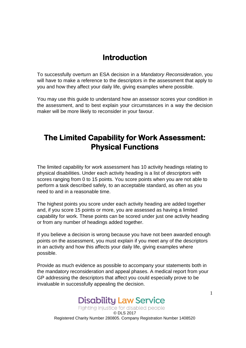### **Introduction**

To successfully overturn an ESA decision in a *Mandatory Reconsideration*, you will have to make a reference to the descriptors in the assessment that apply to you and how they affect your daily life, giving examples where possible.

You may use this guide to understand how an assessor scores your condition in the assessment, and to best explain your circumstances in a way the decision maker will be more likely to reconsider in your favour.

### **The Limited Capability for Work Assessment: Physical Functions**

The limited capability for work assessment has 10 activity headings relating to physical disabilities. Under each activity heading is a list of *descriptors* with scores ranging from 0 to 15 points. You score points when you are not able to perform a task described safely, to an acceptable standard, as often as you need to and in a reasonable time.

The highest points you score under each activity heading are added together and, if you score 15 points or more, you are assessed as having a limited capability for work. These points can be scored under just one activity heading or from any number of headings added together.

If you believe a decision is wrong because you have not been awarded enough points on the assessment, you must explain if you meet any of the descriptors in an activity and how this affects your daily life, giving examples where possible.

Provide as much evidence as possible to accompany your statements both in the mandatory reconsideration and appeal phases. A medical report from your GP addressing the descriptors that affect you could especially prove to be invaluable in successfully appealing the decision.

### **Disability Law Service**

Fighting injustice for disabled people © DLS 2017 Registered Charity Number 280805. Company Registration Number 1408520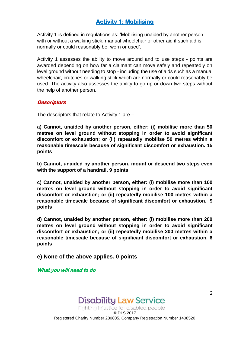#### **Activity 1: Mobilising**

Activity 1 is defined in regulations as: 'Mobilising unaided by another person with or without a walking stick, manual wheelchair or other aid if such aid is normally or could reasonably be, worn or used'.

Activity 1 assesses the ability to move around and to use steps - points are awarded depending on how far a claimant can move safely and repeatedly on level ground without needing to stop - including the use of aids such as a manual wheelchair, crutches or walking stick which are normally or could reasonably be used. The activity also assesses the ability to go up or down two steps without the help of another person.

#### **Descriptors**

The descriptors that relate to Activity 1 are –

**a) Cannot, unaided by another person, either: (i) mobilise more than 50 metres on level ground without stopping in order to avoid significant discomfort or exhaustion; or (ii) repeatedly mobilise 50 metres within a reasonable timescale because of significant discomfort or exhaustion. 15 points**

**b) Cannot, unaided by another person, mount or descend two steps even with the support of a handrail. 9 points**

**c) Cannot, unaided by another person, either: (i) mobilise more than 100 metres on level ground without stopping in order to avoid significant discomfort or exhaustion; or (ii) repeatedly mobilise 100 metres within a reasonable timescale because of significant discomfort or exhaustion. 9 points**

**d) Cannot, unaided by another person, either: (i) mobilise more than 200 metres on level ground without stopping in order to avoid significant discomfort or exhaustion; or (ii) repeatedly mobilise 200 metres within a reasonable timescale because of significant discomfort or exhaustion. 6 points**

**e) None of the above applies. 0 points**

**What you will need to do** 

**Disability Law Service**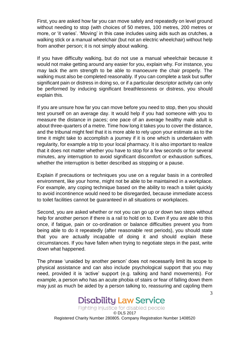First, you are asked how far you can move safely and repeatedly on level ground without needing to stop (with choices of 50 metres, 100 metres, 200 metres or more, or 'it varies'. 'Moving' in this case includes using aids such as crutches, a walking stick or a manual wheelchair (but not an electric wheelchair) without help from another person; it is not simply about walking.

If you have difficulty walking, but do not use a manual wheelchair because it would not make getting around any easier for you, explain why. For instance, you may lack the arm strength to be able to manoeuvre the chair properly. The walking must also be completed reasonably. If you can complete a task but suffer significant pain or distress in doing so, or if a particular descriptor activity can only be performed by inducing significant breathlessness or distress, you should explain this.

If you are unsure how far you can move before you need to stop, then you should test yourself on an average day. It would help if you had someone with you to measure the distance in paces; one pace of an average healthy male adult is about three-quarters of a metre. Time how long it takes you to cover the distance, and the tribunal might feel that it is more able to rely upon your estimate as to the time it might take to accomplish a journey if it is one which is undertaken with regularity, for example a trip to your local pharmacy. It is also important to realize that it does not matter whether you have to stop for a few seconds or for several minutes, any interruption to avoid significant discomfort or exhaustion suffices, whether the interruption is better described as stopping or a pause.

Explain if precautions or techniques you use on a regular basis in a controlled environment, like your home, might not be able to be maintained in a workplace. For example, any coping technique based on the ability to reach a toilet quickly to avoid incontinence would need to be disregarded, because immediate access to toilet facilities cannot be guaranteed in all situations or workplaces.

Second, you are asked whether or not you can go up or down two steps without help for another person if there is a rail to hold on to. Even if you are able to this once, if fatigue, pain or co-ordination or balance difficulties prevent you from being able to do it repeatedly (after reasonable rest periods), you should state that you are actually incapable of doing it and should explain these circumstances. If you have fallen when trying to negotiate steps in the past, write down what happened.

The phrase 'unaided by another person' does not necessarily limit its scope to physical assistance and can also include psychological support that you may need, provided it is 'active' support (e.g. talking and hand movements). For example, a person who has an acute phobia of stairs or fear of falling down them may just as much be aided by a person talking to, reassuring and cajoling them

3

### **Disability Law Service**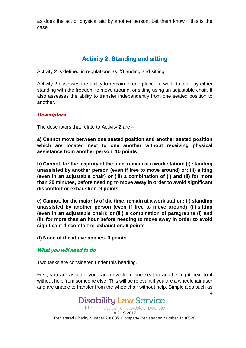as does the act of physical aid by another person. Let them know if this is the case.

#### **Activity 2: Standing and sitting**

Activity 2 is defined in regulations as: 'Standing and sitting'.

Activity 2 assesses the ability to remain in one place - a workstation - by either standing with the freedom to move around, or sitting using an adjustable chair. It also assesses the ability to transfer independently from one seated position to another.

#### **Descriptors**

The descriptors that relate to Activity 2 are –

**a) Cannot move between one seated position and another seated position which are located next to one another without receiving physical assistance from another person. 15 points**

**b) Cannot, for the majority of the time, remain at a work station: (i) standing unassisted by another person (even if free to move around) or; (ii) sitting (even in an adjustable chair) or (iii) a combination of (i) and (ii) for more than 30 minutes, before needing to move away in order to avoid significant discomfort or exhaustion. 9 points**

**c) Cannot, for the majority of the time, remain at a work station: (i) standing unassisted by another person (even if free to move around); (ii) sitting (even in an adjustable chair); or (iii) a combination of paragraphs (i) and (ii), for more than an hour before needing to move away in order to avoid significant discomfort or exhaustion. 6 points**

**d) None of the above applies. 0 points**

#### **What you will need to do**

Two tasks are considered under this heading.

First, you are asked if you can move from one seat to another right next to it without help from someone else. This will be relevant if you are a wheelchair user and are unable to transfer from the wheelchair without help. Simple aids such as

4

### **Disability Law Service**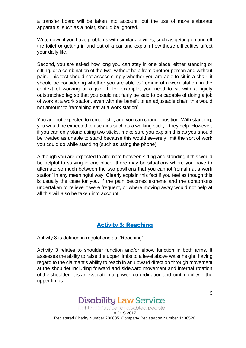a transfer board will be taken into account, but the use of more elaborate apparatus, such as a hoist, should be ignored.

Write down if you have problems with similar activities, such as getting on and off the toilet or getting in and out of a car and explain how these difficulties affect your daily life.

Second, you are asked how long you can stay in one place, either standing or sitting, or a combination of the two, without help from another person and without pain. This test should not assess simply whether you are able to sit in a chair, it should be considering whether you are able to 'remain at a work station' in the context of working at a job. If, for example, you need to sit with a rigidly outstretched leg so that you could not fairly be said to be capable of doing a job of work at a work station, even with the benefit of an adjustable chair, this would not amount to 'remaining sat at a work station'.

You are not expected to remain still, and you can change position. With standing, you would be expected to use aids such as a walking stick, if they help. However, if you can only stand using two sticks, make sure you explain this as you should be treated as unable to stand because this would severely limit the sort of work you could do while standing (such as using the phone).

Although you are expected to alternate between sitting and standing if this would be helpful to staying in one place, there may be situations where you have to alternate so much between the two positions that you cannot 'remain at a work station' in any meaningful way. Clearly explain this fact if you feel as though this is usually the case for you. If the pain becomes extreme and the contortions undertaken to relieve it were frequent, or where moving away would not help at all this will also be taken into account.

#### **Activity 3: Reaching**

Activity 3 is defined in regulations as: 'Reaching'.

Activity 3 relates to shoulder function and/or elbow function in both arms. It assesses the ability to raise the upper limbs to a level above waist height, having regard to the claimant's ability to reach in an upward direction through movement at the shoulder including forward and sideward movement and internal rotation of the shoulder. It is an evaluation of power, co-ordination and joint mobility in the upper limbs.

### **Disability Law Service**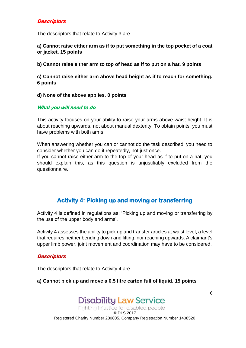#### **Descriptors**

The descriptors that relate to Activity 3 are –

**a) Cannot raise either arm as if to put something in the top pocket of a coat or jacket. 15 points**

**b) Cannot raise either arm to top of head as if to put on a hat. 9 points**

**c) Cannot raise either arm above head height as if to reach for something. 6 points**

#### **d) None of the above applies. 0 points**

#### **What you will need to do**

This activity focuses on your ability to raise your arms above waist height. It is about reaching upwards, not about manual dexterity. To obtain points, you must have problems with both arms.

When answering whether you can or cannot do the task described, you need to consider whether you can do it repeatedly, not just once.

If you cannot raise either arm to the top of your head as if to put on a hat, you should explain this, as this question is unjustifiably excluded from the questionnaire.

#### **Activity 4: Picking up and moving or transferring**

Activity 4 is defined in regulations as: 'Picking up and moving or transferring by the use of the upper body and arms'.

Activity 4 assesses the ability to pick up and transfer articles at waist level, a level that requires neither bending down and lifting, nor reaching upwards. A claimant's upper limb power, joint movement and coordination may have to be considered.

#### **Descriptors**

The descriptors that relate to Activity 4 are –

#### **a) Cannot pick up and move a 0.5 litre carton full of liquid. 15 points**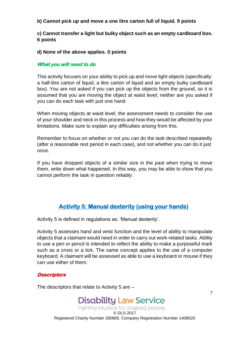**b) Cannot pick up and move a one litre carton full of liquid. 9 points**

#### **c) Cannot transfer a light but bulky object such as an empty cardboard box. 6 points**

#### **d) None of the above applies. 0 points**

#### **What you will need to do**

This activity focuses on your ability to pick up and move light objects (specifically: a half-litre carton of liquid, a litre carton of liquid and an empty bulky cardboard box). You are not asked if you can pick up the objects from the ground, so it is assumed that you are moving the object at waist level; neither are you asked if you can do each task with just one hand.

When moving objects at waist level, the assessment needs to consider the use of your shoulder and neck in this process and how they would be affected by your limitations. Make sure to explain any difficulties arising from this.

Remember to focus on whether or not you can do the task described repeatedly (after a reasonable rest period in each case), and not whether you can do it just once.

If you have dropped objects of a similar size in the past when trying to move them, write down what happened. In this way, you may be able to show that you cannot perform the task in question *reliably*.

#### **Activity 5: Manual dexterity (using your hands)**

Activity 5 is defined in regulations as: 'Manual dexterity'.

Activity 5 assesses hand and wrist function and the level of ability to manipulate objects that a claimant would need in order to carry out work-related tasks. Ability to use a pen or pencil is intended to reflect the ability to make a purposeful mark such as a cross or a tick. The same concept applies to the use of a computer keyboard. A claimant will be assessed as able to use a keyboard or mouse if they can use either of them.

#### **Descriptors**

The descriptors that relate to Activity 5 are –

### **Disability Law Service**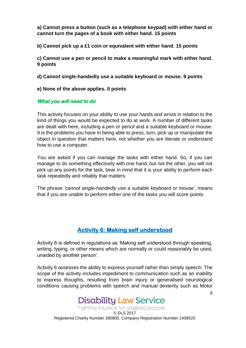**a) Cannot press a button (such as a telephone keypad) with either hand or cannot turn the pages of a book with either hand. 15 points**

**b) Cannot pick up a £1 coin or equivalent with either hand. 15 points**

**c) Cannot use a pen or pencil to make a meaningful mark with either hand. 9 points**

**d) Cannot single-handedly use a suitable keyboard or mouse. 9 points**

#### **e) None of the above applies. 0 points**

#### **What you will need to do**

This activity focuses on your ability to use your hands and wrists in relation to the kind of things you would be expected to do at work. A number of different tasks are dealt with here, including a pen or pencil and a suitable keyboard or mouse. It is the problems you have in being able to press, turn, pick up or manipulate the object in question that matters here, not whether you are literate or understand how to use a computer.

You are asked if you can manage the tasks with either hand. So, if you can manage to do something effectively with one hand, but not the other, you will not pick up any points for the task, bear in mind that it is your ability to perform each task repeatedly and reliably that matters.

The phrase *'cannot single-handedly use a suitable keyboard or mouse'*, means that if you are unable to perform either one of the tasks you will score points.

#### **Activity 6: Making self understood**

Activity 6 is defined in regulations as 'Making self understood through speaking, writing, typing, or other means which are normally or could reasonably be used, unaided by another person'.

Activity 6 assesses the ability to express yourself rather than simply speech. The scope of the activity includes impediment to communication such as an inability to express thoughts, resulting from brain injury or generalised neurological conditions causing problems with speech and manual dexterity such as Motor

### **Disability Law Service**

Fighting injustice for disabled people © DLS 2017 Registered Charity Number 280805. Company Registration Number 1408520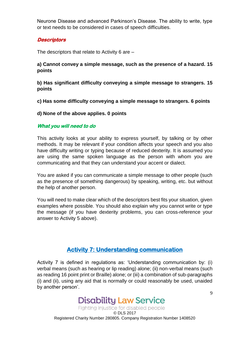Neurone Disease and advanced Parkinson's Disease. The ability to write, type or text needs to be considered in cases of speech difficulties.

#### **Descriptors**

The descriptors that relate to Activity 6 are –

**a) Cannot convey a simple message, such as the presence of a hazard. 15 points**

**b) Has significant difficulty conveying a simple message to strangers. 15 points**

**c) Has some difficulty conveying a simple message to strangers. 6 points**

**d) None of the above applies. 0 points**

#### **What you will need to do**

This activity looks at your ability to express yourself, by talking or by other methods. It may be relevant if your condition affects your speech and you also have difficulty writing or typing because of reduced dexterity. It is assumed you are using the same spoken language as the person with whom you are communicating and that they can understand your accent or dialect.

You are asked if you can communicate a simple message to other people (such as the presence of something dangerous) by speaking, writing, etc. but without the help of another person.

You will need to make clear which of the descriptors best fits your situation, given examples where possible. You should also explain why you cannot write or type the message (if you have dexterity problems, you can cross-reference your answer to Activity 5 above).

#### **Activity 7: Understanding communication**

Activity 7 is defined in regulations as: 'Understanding communication by: (i) verbal means (such as hearing or lip reading) alone; (ii) non-verbal means (such as reading 16 point print or Braille) alone; or (iii) a combination of sub-paragraphs (i) and (ii), using any aid that is normally or could reasonably be used, unaided by another person'.

### **Disability Law Service**

Fighting injustice for disabled people © DLS 2017 Registered Charity Number 280805. Company Registration Number 1408520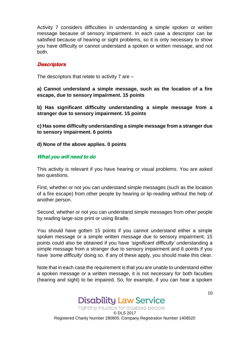Activity 7 considers difficulties in understanding a simple spoken or written message because of sensory impairment. In each case a descriptor can be satisfied because of hearing or sight problems, so it is only necessary to show you have difficulty or cannot understand a spoken or written message, and not both.

#### **Descriptors**

The descriptors that relate to activity 7 are –

**a) Cannot understand a simple message, such as the location of a fire escape, due to sensory impairment. 15 points**

**b) Has significant difficulty understanding a simple message from a stranger due to sensory impairment. 15 points**

**c) Has some difficulty understanding a simple message from a stranger due to sensory impairment. 6 points**

**d) None of the above applies. 0 points**

#### **What you will need to do**

This activity is relevant if you have hearing or visual problems. You are asked two questions.

First, whether or not you can understand simple messages (such as the location of a fire escape) from other people by hearing or lip-reading without the help of another person.

Second, whether or not you can understand simple messages from other people by reading large-size print or using Braille.

You should have gotten 15 points if you cannot understand either a simple spoken message or a simple written message due to sensory impairment; 15 points could also be obtained if you have *'significant difficulty'* understanding a simple message from a stranger due to sensory impairment and 6 points if you have *'some difficulty'* doing so. If any of these apply, you should make this clear.

Note that in each case the requirement is that you are unable to understand *either* a spoken message *or* a written message, it is not necessary for both faculties (hearing and sight) to be impaired. So, for example, if you can hear a spoken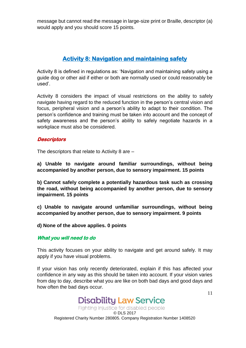message but cannot read the message in large-size print or Braille, descriptor (a) would apply and you should score 15 points.

#### **Activity 8: Navigation and maintaining safety**

Activity 8 is defined in regulations as: 'Navigation and maintaining safety using a guide dog or other aid if either or both are normally used or could reasonably be used'.

Activity 8 considers the impact of visual restrictions on the ability to safely navigate having regard to the reduced function in the person's central vision and focus, peripheral vision and a person's ability to adapt to their condition. The person's confidence and training must be taken into account and the concept of safety awareness and the person's ability to safely negotiate hazards in a workplace must also be considered.

#### **Descriptors**

The descriptors that relate to Activity 8 are –

**a) Unable to navigate around familiar surroundings, without being accompanied by another person, due to sensory impairment. 15 points**

**b) Cannot safely complete a potentially hazardous task such as crossing the road, without being accompanied by another person, due to sensory impairment. 15 points**

**c) Unable to navigate around unfamiliar surroundings, without being accompanied by another person, due to sensory impairment. 9 points**

**d) None of the above applies. 0 points**

#### **What you will need to do**

This activity focuses on your ability to navigate and get around safely. It may apply if you have visual problems.

If your vision has only recently deteriorated, explain if this has affected your confidence in any way as this should be taken into account. If your vision varies from day to day, describe what you are like on both bad days and good days and how often the bad days occur.

11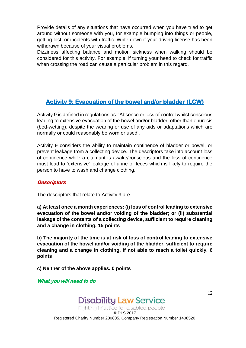Provide details of any situations that have occurred when you have tried to get around without someone with you, for example bumping into things or people, getting lost, or incidents with traffic. Write down if your driving license has been withdrawn because of your visual problems.

Dizziness affecting balance and motion sickness when walking should be considered for this activity. For example, if turning your head to check for traffic when crossing the road can cause a particular problem in this regard.

#### **Activity 9: Evacuation of the bowel and/or bladder (LCW)**

Activity 9 is defined in regulations as: 'Absence or loss of control whilst conscious leading to extensive evacuation of the bowel and/or bladder, other than enuresis (bed-wetting), despite the wearing or use of any aids or adaptations which are normally or could reasonably be worn or used'.

Activity 9 considers the ability to maintain continence of bladder or bowel, or prevent leakage from a collecting device. The descriptors take into account loss of continence while a claimant is awake/conscious and the loss of continence must lead to 'extensive' leakage of urine or feces which is likely to require the person to have to wash and change clothing.

#### **Descriptors**

The descriptors that relate to Activity 9 are –

**a) At least once a month experiences: (i) loss of control leading to extensive evacuation of the bowel and/or voiding of the bladder; or (ii) substantial leakage of the contents of a collecting device, sufficient to require cleaning and a change in clothing. 15 points**

**b) The majority of the time is at risk of loss of control leading to extensive evacuation of the bowel and/or voiding of the bladder, sufficient to require cleaning and a change in clothing, if not able to reach a toilet quickly. 6 points**

**c) Neither of the above applies. 0 points**

**What you will need to do** 

### **Disability Law Service**

Fighting injustice for disabled people © DLS 2017 Registered Charity Number 280805. Company Registration Number 1408520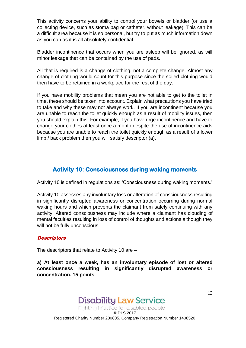This activity concerns your ability to control your bowels or bladder (or use a collecting device, such as stoma bag or catheter, without leakage). This can be a difficult area because it is so personal, but try to put as much information down as you can as it is all absolutely confidential.

Bladder incontinence that occurs when you are asleep will be ignored, as will minor leakage that can be contained by the use of pads.

All that is required is a change of clothing, not a complete change. Almost any change of clothing would count for this purpose since the soiled clothing would then have to be retained in a workplace for the rest of the day.

If you have mobility problems that mean you are not able to get to the toilet in time, these should be taken into account. Explain what precautions you have tried to take and why these may not always work. If you are incontinent because you are unable to reach the toilet quickly enough as a result of mobility issues, then you should explain this. For example, if you have urge incontinence and have to change your clothes at least once a month despite the use of incontinence aids because you are unable to reach the toilet quickly enough as a result of a lower limb / back problem then you will satisfy descriptor (a).

#### **Activity 10: Consciousness during waking moments**

Activity 10 is defined in regulations as: 'Consciousness during waking moments.'

Activity 10 assesses any involuntary loss or alteration of consciousness resulting in significantly disrupted awareness or concentration occurring during normal waking hours and which prevents the claimant from safely continuing with any activity. Altered consciousness may include where a claimant has clouding of mental faculties resulting in loss of control of thoughts and actions although they will not be fully unconscious.

#### **Descriptors**

The descriptors that relate to Activity 10 are –

**a) At least once a week, has an involuntary episode of lost or altered consciousness resulting in significantly disrupted awareness or concentration. 15 points**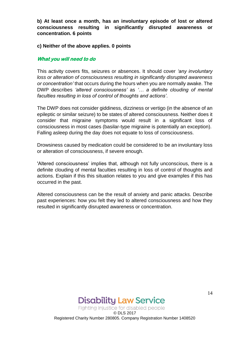**b) At least once a month, has an involuntary episode of lost or altered consciousness resulting in significantly disrupted awareness or concentration. 6 points**

#### **c) Neither of the above applies. 0 points**

#### **What you will need to do**

This activity covers fits, seizures or absences. It should cover *'any involuntary loss or alteration of consciousness resulting in significantly disrupted awareness or concentration'* that occurs during the hours when you are normally awake. The DWP describes *'altered consciousness'* as *'… a definite clouding of mental faculties resulting in loss of control of thoughts and actions'*.

The DWP does not consider giddiness, dizziness or vertigo (in the absence of an epileptic or similar seizure) to be states of altered consciousness. Neither does it consider that migraine symptoms would result in a significant loss of consciousness in most cases (basilar-type migraine is potentially an exception). Falling asleep during the day does not equate to loss of consciousness.

Drowsiness caused by medication could be considered to be an involuntary loss or alteration of consciousness, if severe enough.

'Altered consciousness' implies that, although not fully unconscious, there is a definite clouding of mental faculties resulting in loss of control of thoughts and actions. Explain if this this situation relates to you and give examples if this has occurred in the past.

Altered consciousness can be the result of anxiety and panic attacks. Describe past experiences: how you felt they led to altered consciousness and how they resulted in significantly disrupted awareness or concentration.